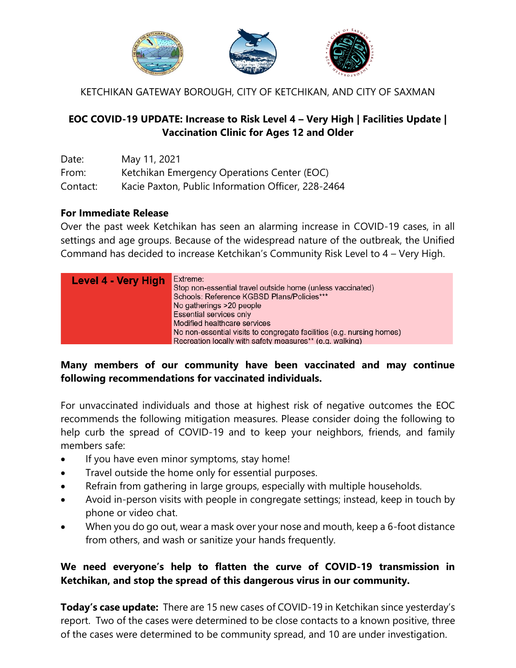

KETCHIKAN GATEWAY BOROUGH, CITY OF KETCHIKAN, AND CITY OF SAXMAN

#### **EOC COVID-19 UPDATE: Increase to Risk Level 4 – Very High | Facilities Update | Vaccination Clinic for Ages 12 and Older**

| Date:    | May 11, 2021                                       |
|----------|----------------------------------------------------|
| From:    | Ketchikan Emergency Operations Center (EOC)        |
| Contact: | Kacie Paxton, Public Information Officer, 228-2464 |

#### **For Immediate Release**

Over the past week Ketchikan has seen an alarming increase in COVID-19 cases, in all settings and age groups. Because of the widespread nature of the outbreak, the Unified Command has decided to increase Ketchikan's Community Risk Level to 4 – Very High.

| Level 4 - Very High | Extreme:<br>Stop non-essential travel outside home (unless vaccinated)<br>Schools: Reference KGBSD Plans/Policies***<br>No gatherings >20 people<br>Essential services only<br>Modified healthcare services |
|---------------------|-------------------------------------------------------------------------------------------------------------------------------------------------------------------------------------------------------------|
|                     | No non-essential visits to congregate facilities (e.g. nursing homes)                                                                                                                                       |
|                     | Recreation locally with safety measures** (e.g. walking)                                                                                                                                                    |

#### **Many members of our community have been vaccinated and may continue following recommendations for vaccinated individuals.**

For unvaccinated individuals and those at highest risk of negative outcomes the EOC recommends the following mitigation measures. Please consider doing the following to help curb the spread of COVID-19 and to keep your neighbors, friends, and family members safe:

- If you have even minor symptoms, stay home!
- Travel outside the home only for essential purposes.
- Refrain from gathering in large groups, especially with multiple households.
- Avoid in-person visits with people in congregate settings; instead, keep in touch by phone or video chat.
- When you do go out, wear a mask over your nose and mouth, keep a 6-foot distance from others, and wash or sanitize your hands frequently.

#### **We need everyone's help to flatten the curve of COVID-19 transmission in Ketchikan, and stop the spread of this dangerous virus in our community.**

**Today's case update:** There are 15 new cases of COVID-19 in Ketchikan since yesterday's report. Two of the cases were determined to be close contacts to a known positive, three of the cases were determined to be community spread, and 10 are under investigation.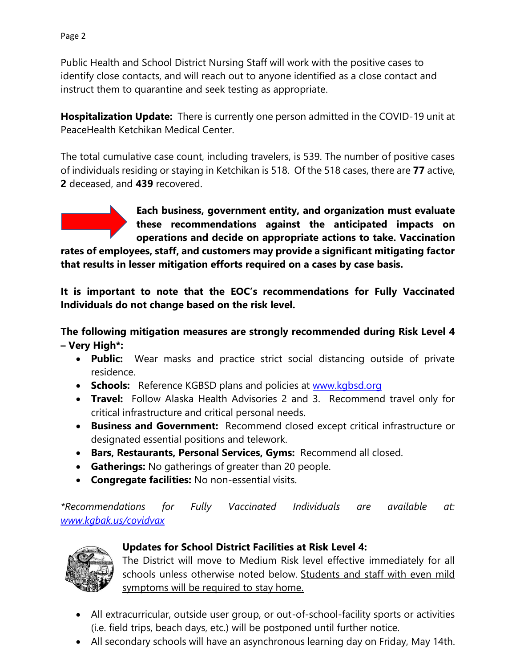Public Health and School District Nursing Staff will work with the positive cases to identify close contacts, and will reach out to anyone identified as a close contact and instruct them to quarantine and seek testing as appropriate.

**Hospitalization Update:** There is currently one person admitted in the COVID-19 unit at PeaceHealth Ketchikan Medical Center.

The total cumulative case count, including travelers, is 539. The number of positive cases of individuals residing or staying in Ketchikan is 518. Of the 518 cases, there are **77** active, **2** deceased, and **439** recovered.



**rates of employees, staff, and customers may provide a significant mitigating factor that results in lesser mitigation efforts required on a cases by case basis.** 

**It is important to note that the EOC's recommendations for Fully Vaccinated Individuals do not change based on the risk level.** 

**The following mitigation measures are strongly recommended during Risk Level 4 – Very High\*:**

- **Public:** Wear masks and practice strict social distancing outside of private residence.
- **Schools:** Reference KGBSD plans and policies at [www.kgbsd.org](http://www.kgbsd.org/)
- **Travel:** Follow Alaska Health Advisories 2 and 3. Recommend travel only for critical infrastructure and critical personal needs.
- **Business and Government:** Recommend closed except critical infrastructure or designated essential positions and telework.
- **Bars, Restaurants, Personal Services, Gyms:** Recommend all closed.
- **Gatherings:** No gatherings of greater than 20 people.
- **Congregate facilities:** No non-essential visits.

*\*Recommendations for Fully Vaccinated Individuals are available at: [www.kgbak.us/covidvax](http://www.kgbak.us/covidvax)*



# **Updates for School District Facilities at Risk Level 4:**

The District will move to Medium Risk level effective immediately for all schools unless otherwise noted below. Students and staff with even mild symptoms will be required to stay home.

- All extracurricular, outside user group, or out-of-school-facility sports or activities (i.e. field trips, beach days, etc.) will be postponed until further notice.
- All secondary schools will have an asynchronous learning day on Friday, May 14th.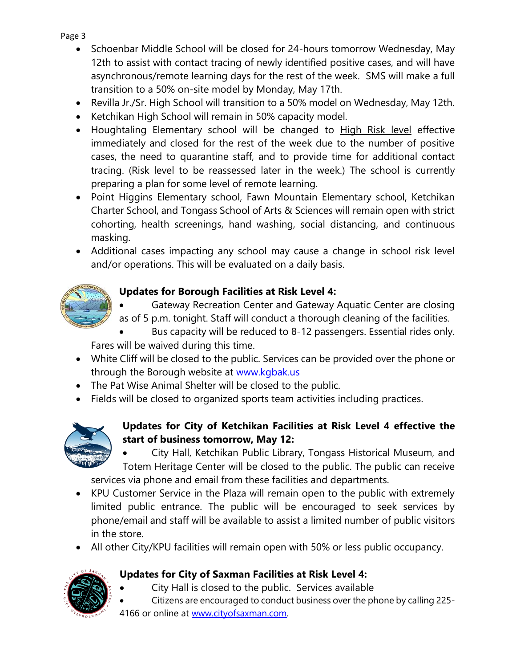Page 3

- Schoenbar Middle School will be closed for 24-hours tomorrow Wednesday, May 12th to assist with contact tracing of newly identified positive cases, and will have asynchronous/remote learning days for the rest of the week. SMS will make a full transition to a 50% on-site model by Monday, May 17th.
- Revilla Jr./Sr. High School will transition to a 50% model on Wednesday, May 12th.
- Ketchikan High School will remain in 50% capacity model.
- Houghtaling Elementary school will be changed to High Risk level effective immediately and closed for the rest of the week due to the number of positive cases, the need to quarantine staff, and to provide time for additional contact tracing. (Risk level to be reassessed later in the week.) The school is currently preparing a plan for some level of remote learning.
- Point Higgins Elementary school, Fawn Mountain Elementary school, Ketchikan Charter School, and Tongass School of Arts & Sciences will remain open with strict cohorting, health screenings, hand washing, social distancing, and continuous masking.
- Additional cases impacting any school may cause a change in school risk level and/or operations. This will be evaluated on a daily basis.



# **Updates for Borough Facilities at Risk Level 4:**

- Gateway Recreation Center and Gateway Aquatic Center are closing as of 5 p.m. tonight. Staff will conduct a thorough cleaning of the facilities.
- Bus capacity will be reduced to 8-12 passengers. Essential rides only.

Fares will be waived during this time.

- White Cliff will be closed to the public. Services can be provided over the phone or through the Borough website at [www.kgbak.us](http://www.kgbak.us/)
- The Pat Wise Animal Shelter will be closed to the public.
- Fields will be closed to organized sports team activities including practices.



### **Updates for City of Ketchikan Facilities at Risk Level 4 effective the start of business tomorrow, May 12:**

 City Hall, Ketchikan Public Library, Tongass Historical Museum, and Totem Heritage Center will be closed to the public. The public can receive services via phone and email from these facilities and departments.

- KPU Customer Service in the Plaza will remain open to the public with extremely limited public entrance. The public will be encouraged to seek services by phone/email and staff will be available to assist a limited number of public visitors in the store.
- All other City/KPU facilities will remain open with 50% or less public occupancy.

# **Updates for City of Saxman Facilities at Risk Level 4:**

- City Hall is closed to the public. Services available
- Citizens are encouraged to conduct business over the phone by calling 225-
- 4166 or online at [www.cityofsaxman.com.](https://us-east-2.protection.sophos.com/?d=cityofsaxman.com&u=aHR0cDovL3d3dy5jaXR5b2ZzYXhtYW4uY29t&i=NWNlNTg2MzlhZTUzOWIxNGFlY2Q4NWFh&t=WnVHem9kaVdRM0cxTTBmVHZGTThSRUgyakxIUHFES3Y0azk4bW82L1VQcz0=&h=8755be43f7b440cd91ef79b1e773546b)